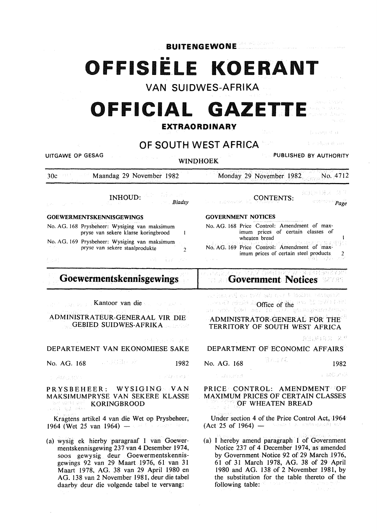**BUITENGEWONE** 

# •• **OFFISIE.LE KOERANT**

**VAN SUIDWES-AFRIKA** 

# OFFICIAL GAZETT

**EXTRAORDINARY** 

 $\frac{1}{3}$  and  $\mathcal{O}^2\mathcal{H}^2\mathcal{H}^2$  and

 $\chi \approx \gamma \xi_{\rm 000}$  B and

# **OF SOUTH WEST AFRICA**

UITGAWE OP GESAG PUBLISHED BY AUTHORITY

WINDHOEK

Monday 29 November 1982. No. 4712

# INHOUD:

*Bladsy* 

30c Maandag 29 November 1982

### GOEWERMENTSKENNISGEWINGS

No. AG. 168 Prysbeheer: Wysiging van maksimum pryse van sekere klasse koringbrood  $\mathbf{I}$ 

No. AG. 169 Prysbeheer: Wysiging van maksimum pryse van sekere staalprodukte 2

SAR)

# **Goewermentskennisgewings**

Kantoor van die Sawaran K

# ADMINISTRATEUR-GENERAAL VIR DIE GEBIED SUIDWES-AFRIKA

18만 도시에 개인

# DEPARTEMENT VAN EKONOMIESE SAKE

No. AG. 168 **1982** 

Setzle Bad 5 STAGLEY:

#### PRYSBEHEER: WYSIGING VAN MAKSIMUMPRYSE VAN SEKERE KLASSE ist advakt gen KORINGBROOD  $\omega(\alpha) = \log \frac{1}{\alpha}$  (day)

Kragtens artikel 4 van die Wet op Prysbeheer;  $1964$  (Wet 25 van 1964)  $-$  and the contract of

(a) wysig ek hierby paragraaf 1 van Goewermentskennisgewing 237 van 4 Desember 1974, soos gewysig deur Goewermentskennisgewings 92 van 29 Maart 1976, 61 van 31 Maart 1978, AG. 38 van 29 April 1980 en AG. 138 van 2 November 1981, deur die tabel daarby deur die volgende tabel te vervang:

# GOVERNMENT NOTICES

|             | No. AG. 168 Price Control: Amendment of max-<br>imum prices of certain classes of<br>wheaten bread  |
|-------------|-----------------------------------------------------------------------------------------------------|
|             | No. AG. 169 Price Control: Amendment of max-<br>imum prices of certain steel products $\frac{2}{2}$ |
| The control |                                                                                                     |

CONTENTS:

#### 역 달 않은 영업 통신 a Mak **·Government Notices**

inagi car unifol A tin das Wet ign Psychology Office of the sex 22 SVD 189<br>Seconds (25) and 10 Office operagements - 10-le

# ADMINISTRATOR-GENERAL FOR THE TERRITORY OF SOUTH WEST AFRICA

美丽 拜拜 法一转凭

# DEPARTMENT OF ECONOMIC AFFAIRS

| No. AG. 168 | 職業法で乱 | 1982       |
|-------------|-------|------------|
| しっぱっぽんまい    |       | n naturata |

## PRICE CONTROL: AMENDMENT OF MAXIMUM PRICES OF CERTAIN CLASSES OF WHEATEN BREAD

Under section 4 of the Price Control Act, 1964  $(Act 25 of 1964) -$ (Search R. Endromed) to

(a) I hereby amend paragraph 1 of Government Notice 237 of 4 December 1974, as amended by Government Notice 92 of 29 March 1976, 61 of 31 March 1978, AG. 38 of 29 April 1980 and AG. 138 of 2 November 1981, by the substitution for the table thereto of the following table:

年前2013年以上

**Page**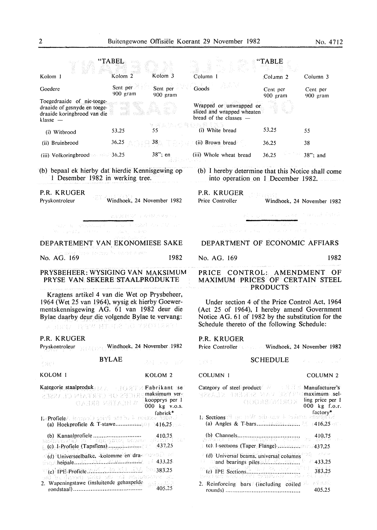|                                                                                                                                                                                                                                | TABEL                      |                                                   |                                                                                                                                                                                                   | TABLE                                    |                                                                              |
|--------------------------------------------------------------------------------------------------------------------------------------------------------------------------------------------------------------------------------|----------------------------|---------------------------------------------------|---------------------------------------------------------------------------------------------------------------------------------------------------------------------------------------------------|------------------------------------------|------------------------------------------------------------------------------|
| Kolom 1                                                                                                                                                                                                                        | Kolom <sub>2</sub>         | Kolom <sub>3</sub>                                | Column <sub>1</sub>                                                                                                                                                                               | Column <sub>2</sub>                      | Column <sub>3</sub>                                                          |
| Goedere                                                                                                                                                                                                                        | Sent per<br>900 gram       | Sent per<br>900 gram                              | Goods                                                                                                                                                                                             | Cent per<br>900 gram                     | Cent per<br>900 gram                                                         |
| Toegedraaide of nie-toege-<br>draaide of gesnyde en toege-<br>draaide koringbrood van die<br>klasse —                                                                                                                          | - 2601089                  |                                                   | Wrapped or unwrapped or<br>sliced and wrapped wheaten<br>bread of the classes -                                                                                                                   |                                          |                                                                              |
| (i) Witbrood                                                                                                                                                                                                                   | 53,25                      |                                                   | (i) White bread                                                                                                                                                                                   | 53.25                                    | 55                                                                           |
| (ii) Bruinbrood                                                                                                                                                                                                                | 36,25                      | 38 <sub>1</sub>                                   | (ii) Brown bread                                                                                                                                                                                  | 36,25                                    | 38                                                                           |
| (iii) Volkoringbrood $\sim$ 36,25                                                                                                                                                                                              |                            | $38$ "; en                                        | (iii) Whole wheat bread                                                                                                                                                                           | 36.25                                    | $38$ "; and                                                                  |
| (b) bepaal ek hierby dat hierdie Kennisgewing op<br>1 Desember 1982 in werking tree.                                                                                                                                           |                            |                                                   | (b) I hereby determine that this Notice shall come<br>into operation on 1 December 1982.                                                                                                          |                                          |                                                                              |
| P.R. KRUGER<br>Pryskontroleur                                                                                                                                                                                                  | Windhoek, 24 November 1982 |                                                   | P.R. KRUGER<br>Price Controller                                                                                                                                                                   |                                          | Windhoek, 24 November 1982                                                   |
| pane a communication of as V which should be<br>ika na pragdigi na katika na kana ngogoto na kakim                                                                                                                             | 无法避免的作用 有很精炼中的 化氯          |                                                   | mand that is not contain the sample with a research in<br>DOMESTIC CONDUCT IN A SAFEKEEPING                                                                                                       | the gain seen called a financial shafted |                                                                              |
| DEPARTEMENT VAN EKONOMIESE SAKE                                                                                                                                                                                                |                            |                                                   | DEPARTMENT OF ECONOMIC AFFIARS                                                                                                                                                                    |                                          |                                                                              |
| io pang tina ar nga Pilitering o man                                                                                                                                                                                           |                            |                                                   |                                                                                                                                                                                                   |                                          |                                                                              |
| No. AG. 169                                                                                                                                                                                                                    |                            | 1982                                              | No. AG. 169                                                                                                                                                                                       |                                          | 1982                                                                         |
| PRYSBEHEER: WYSIGING VAN MAKSIMUM<br>PRYSE VAN SEKERE STAALPRODUKTE                                                                                                                                                            |                            |                                                   | PRICE CONTROL: AMENDMENT<br>MAXIMUM PRICES OF CERTAIN STEEL                                                                                                                                       | <b>PRODUCTS</b>                          | OF                                                                           |
| Kragtens artikel 4 van die Wet op Prysbeheer,<br>1964 (Wet 25 van 1964), wysig ek hierby Goewer-<br>mentskennisgewing AG. 61 van 1982 deur die<br>Bylae daarby deur die volgende Bylae te vervang:<br>不与其共生 的复数不具的现在分词 化苯酚甘烯酸钠 |                            |                                                   | Under section 4 of the Price Control Act, 1964<br>(Act 25 of 1964), I hereby amend Government<br>Notice AG. 61 of 1982 by the substitution for the<br>Schedule thereto of the following Schedule: |                                          |                                                                              |
| P.R. KRUGER<br>Pryskontroleur                                                                                                                                                                                                  | Windhoek, 24 November 1982 |                                                   | P.R. KRUGER<br>Price Controller <b>Controller</b> Windhoek, 24 November 1982                                                                                                                      |                                          |                                                                              |
| 증권단                                                                                                                                                                                                                            | <b>BYLAE</b>               | 281 日夜 田不                                         | 工業科 1                                                                                                                                                                                             | <b>SCHEDULE</b>                          | メスト しょえんしょう                                                                  |
| KOLOM <sub>1</sub>                                                                                                                                                                                                             |                            | KOLOM <sub>2</sub>                                | COLUMN <sub>1</sub>                                                                                                                                                                               |                                          | COLUMN <sub>2</sub>                                                          |
| Kategorie staalproduk ze ze en gebreikant se<br>RECES OF CERTAIN CLASSES<br>CLASSE METAIN                                                                                                                                      |                            | maksimum ver-<br>koopprys per 1<br>'000 kg v.o.s. | Category of steel product Manufacturer's<br>NEELA PRIMER MAV NEELAMA SER                                                                                                                          | KORIMIBROOP                              | ling price per 1<br>000 kg f.o.r.                                            |
| BeProfieleA Heaven's point being the accepted approximate                                                                                                                                                                      |                            | fabrick <sup>*</sup>                              | In Sections of the 1934 with any 4 to aren anning the                                                                                                                                             |                                          | factory*                                                                     |
| $(c)$ -1-Profiele (Tapsflens) $\ldots$                                                                                                                                                                                         |                            | - 687<br>437.25                                   | $ $ (c) I-sections (Taper Flange) $\ldots \ldots \ldots \ldots \ldots$ 437.25                                                                                                                     |                                          | 410,75                                                                       |
| do Universeelbalke, kolomme en dra moved ad                                                                                                                                                                                    |                            | $\approx 433.25$                                  | (d) Universal beams, universal columns<br><b>Example bearings</b> piles <i>millimities</i>                                                                                                        |                                          | $\mathcal{P}_1(\tilde{U},\tilde{g},\tilde{U},\tilde{g},\tilde{g})$<br>433,25 |
| the seturion for the table theories of the                                                                                                                                                                                     |                            | 383,25                                            |                                                                                                                                                                                                   |                                          | 383,25<br>法人名声                                                               |
| 2. Wapeningstawe (insluitende gehaspelde                                                                                                                                                                                       |                            | างสร้องเพื่อดิ<br>405,25                          | 2. Reinforcing bars (including coiled                                                                                                                                                             |                                          | 网络球员<br>405,25                                                               |